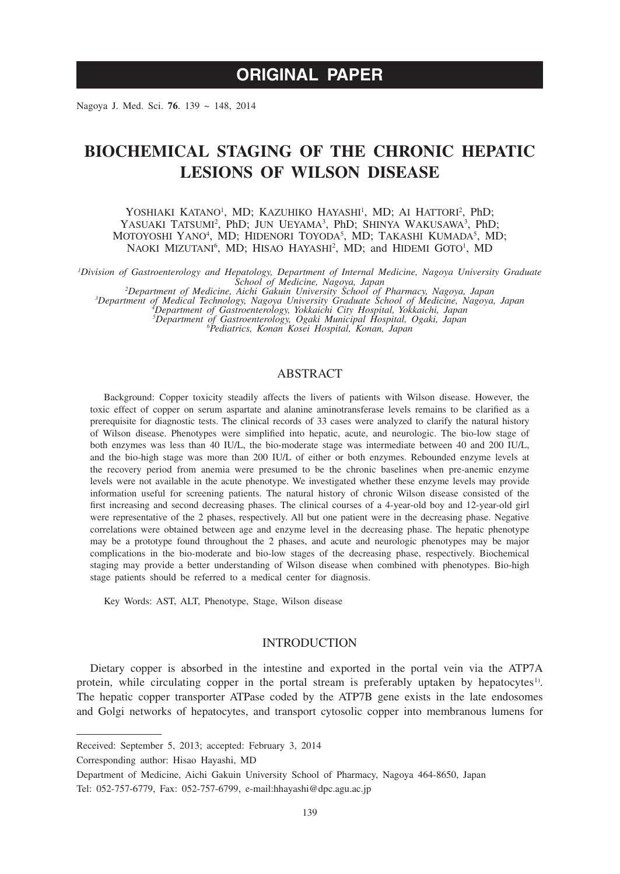# **ORIGINAL PAPER**

Nagoya J. Med. Sci. **76**. 139 ~ 148, 2014

# **BIOCHEMICAL STAGING OF THE CHRONIC HEPATIC LESIONS OF WILSON DISEASE**

YOSHIAKI KATANO<sup>1</sup>, MD; KAZUHIKO HAYASHI<sup>1</sup>, MD; AI HATTORI<sup>2</sup>, PhD; YASUAKI TATSUMI<sup>2</sup>, PhD; JUN UEYAMA<sup>3</sup>, PhD; SHINYA WAKUSAWA<sup>3</sup>, PhD; MOTOYOSHI YANO<sup>4</sup>, MD; HIDENORI TOYODA<sup>5</sup>, MD; TAKASHI KUMADA<sup>5</sup>, MD; NAOKI MIZUTANI<sup>6</sup>, MD; HISAO HAYASHI<sup>2</sup>, MD; and HIDEMI GOTO<sup>1</sup>, MD

*1 Division of Gastroenterology and Hepatology, Department of Internal Medicine, Nagoya University Graduate* 

School of Medicine, Nagoya, Japan<br>
<sup>2</sup>Department of Medicine, Aichi Gakuin University School of Pharmacy, Nagoya, Japan<br>
<sup>3</sup>Department of Gastroenterology, Nagoya University Graduate School of Medicine, Nagoya, Japan<br>
<sup>3</sup>D

# ABSTRACT

Background: Copper toxicity steadily affects the livers of patients with Wilson disease. However, the toxic effect of copper on serum aspartate and alanine aminotransferase levels remains to be clarified as a prerequisite for diagnostic tests. The clinical records of 33 cases were analyzed to clarify the natural history of Wilson disease. Phenotypes were simplified into hepatic, acute, and neurologic. The bio-low stage of both enzymes was less than 40 IU/L, the bio-moderate stage was intermediate between 40 and 200 IU/L, and the bio-high stage was more than 200 IU/L of either or both enzymes. Rebounded enzyme levels at the recovery period from anemia were presumed to be the chronic baselines when pre-anemic enzyme levels were not available in the acute phenotype. We investigated whether these enzyme levels may provide information useful for screening patients. The natural history of chronic Wilson disease consisted of the first increasing and second decreasing phases. The clinical courses of a 4-year-old boy and 12-year-old girl were representative of the 2 phases, respectively. All but one patient were in the decreasing phase. Negative correlations were obtained between age and enzyme level in the decreasing phase. The hepatic phenotype may be a prototype found throughout the 2 phases, and acute and neurologic phenotypes may be major complications in the bio-moderate and bio-low stages of the decreasing phase, respectively. Biochemical staging may provide a better understanding of Wilson disease when combined with phenotypes. Bio-high stage patients should be referred to a medical center for diagnosis.

Key Words: AST, ALT, Phenotype, Stage, Wilson disease

## INTRODUCTION

Dietary copper is absorbed in the intestine and exported in the portal vein via the ATP7A protein, while circulating copper in the portal stream is preferably uptaken by hepatocytes<sup>1)</sup>. The hepatic copper transporter ATPase coded by the ATP7B gene exists in the late endosomes and Golgi networks of hepatocytes, and transport cytosolic copper into membranous lumens for

Received: September 5, 2013; accepted: February 3, 2014

Corresponding author: Hisao Hayashi, MD

Department of Medicine, Aichi Gakuin University School of Pharmacy, Nagoya 464-8650, Japan Tel: 052-757-6779, Fax: 052-757-6799, e-mail:hhayashi@dpc.agu.ac.jp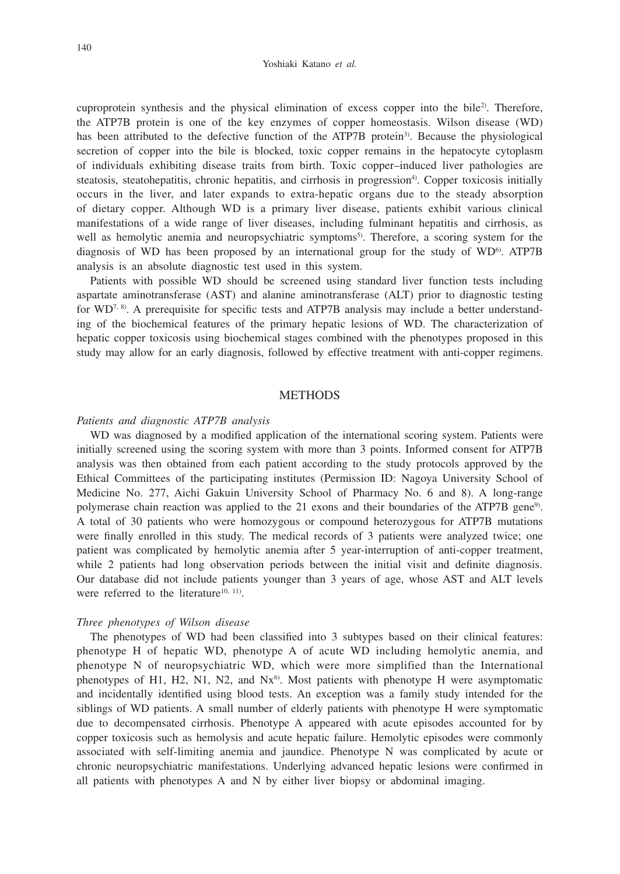cuproprotein synthesis and the physical elimination of excess copper into the bile<sup>2</sup>. Therefore, the ATP7B protein is one of the key enzymes of copper homeostasis. Wilson disease (WD) has been attributed to the defective function of the ATP7B protein<sup>3</sup>. Because the physiological secretion of copper into the bile is blocked, toxic copper remains in the hepatocyte cytoplasm of individuals exhibiting disease traits from birth. Toxic copper–induced liver pathologies are steatosis, steatohepatitis, chronic hepatitis, and cirrhosis in progression<sup>4</sup>). Copper toxicosis initially occurs in the liver, and later expands to extra-hepatic organs due to the steady absorption of dietary copper. Although WD is a primary liver disease, patients exhibit various clinical manifestations of a wide range of liver diseases, including fulminant hepatitis and cirrhosis, as well as hemolytic anemia and neuropsychiatric symptoms<sup>5)</sup>. Therefore, a scoring system for the diagnosis of WD has been proposed by an international group for the study of  $WD^6$ . ATP7B analysis is an absolute diagnostic test used in this system.

Patients with possible WD should be screened using standard liver function tests including aspartate aminotransferase (AST) and alanine aminotransferase (ALT) prior to diagnostic testing for WD<sup>7, 8)</sup>. A prerequisite for specific tests and ATP7B analysis may include a better understanding of the biochemical features of the primary hepatic lesions of WD. The characterization of hepatic copper toxicosis using biochemical stages combined with the phenotypes proposed in this study may allow for an early diagnosis, followed by effective treatment with anti-copper regimens.

## **METHODS**

## *Patients and diagnostic ATP7B analysis*

WD was diagnosed by a modified application of the international scoring system. Patients were initially screened using the scoring system with more than 3 points. Informed consent for ATP7B analysis was then obtained from each patient according to the study protocols approved by the Ethical Committees of the participating institutes (Permission ID: Nagoya University School of Medicine No. 277, Aichi Gakuin University School of Pharmacy No. 6 and 8). A long-range polymerase chain reaction was applied to the 21 exons and their boundaries of the ATP7B gene9). A total of 30 patients who were homozygous or compound heterozygous for ATP7B mutations were finally enrolled in this study. The medical records of 3 patients were analyzed twice; one patient was complicated by hemolytic anemia after 5 year-interruption of anti-copper treatment, while 2 patients had long observation periods between the initial visit and definite diagnosis. Our database did not include patients younger than 3 years of age, whose AST and ALT levels were referred to the literature $10, 11$ .

# *Three phenotypes of Wilson disease*

The phenotypes of WD had been classified into 3 subtypes based on their clinical features: phenotype H of hepatic WD, phenotype A of acute WD including hemolytic anemia, and phenotype N of neuropsychiatric WD, which were more simplified than the International phenotypes of H1, H2, N1, N2, and  $Nx<sup>6</sup>$ . Most patients with phenotype H were asymptomatic and incidentally identified using blood tests. An exception was a family study intended for the siblings of WD patients. A small number of elderly patients with phenotype H were symptomatic due to decompensated cirrhosis. Phenotype A appeared with acute episodes accounted for by copper toxicosis such as hemolysis and acute hepatic failure. Hemolytic episodes were commonly associated with self-limiting anemia and jaundice. Phenotype N was complicated by acute or chronic neuropsychiatric manifestations. Underlying advanced hepatic lesions were confirmed in all patients with phenotypes A and N by either liver biopsy or abdominal imaging.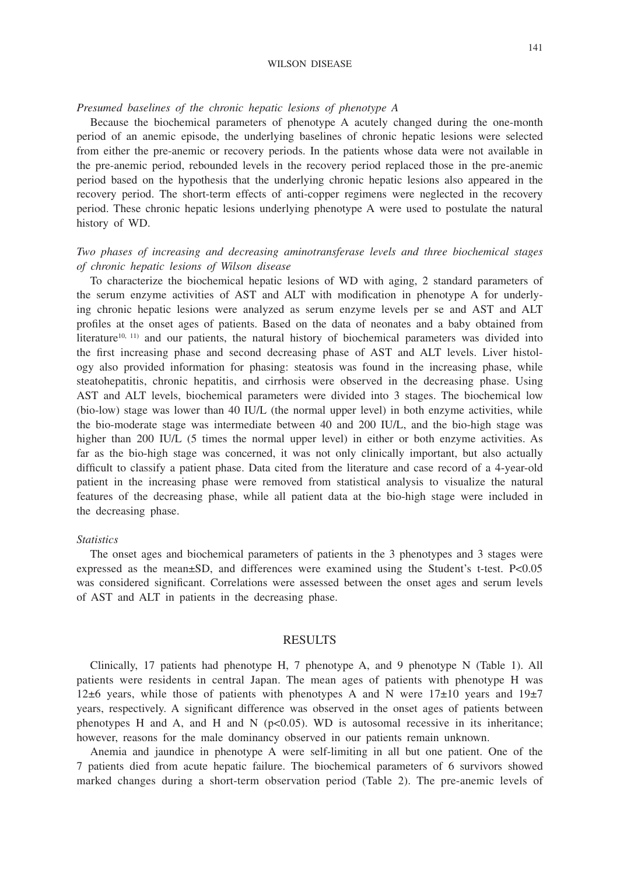### WILSON DISEASE

## *Presumed baselines of the chronic hepatic lesions of phenotype A*

Because the biochemical parameters of phenotype A acutely changed during the one-month period of an anemic episode, the underlying baselines of chronic hepatic lesions were selected from either the pre-anemic or recovery periods. In the patients whose data were not available in the pre-anemic period, rebounded levels in the recovery period replaced those in the pre-anemic period based on the hypothesis that the underlying chronic hepatic lesions also appeared in the recovery period. The short-term effects of anti-copper regimens were neglected in the recovery period. These chronic hepatic lesions underlying phenotype A were used to postulate the natural history of WD.

# *Two phases of increasing and decreasing aminotransferase levels and three biochemical stages of chronic hepatic lesions of Wilson disease*

To characterize the biochemical hepatic lesions of WD with aging, 2 standard parameters of the serum enzyme activities of AST and ALT with modification in phenotype A for underlying chronic hepatic lesions were analyzed as serum enzyme levels per se and AST and ALT profiles at the onset ages of patients. Based on the data of neonates and a baby obtained from literature<sup>10, 11)</sup> and our patients, the natural history of biochemical parameters was divided into the first increasing phase and second decreasing phase of AST and ALT levels. Liver histology also provided information for phasing: steatosis was found in the increasing phase, while steatohepatitis, chronic hepatitis, and cirrhosis were observed in the decreasing phase. Using AST and ALT levels, biochemical parameters were divided into 3 stages. The biochemical low (bio-low) stage was lower than 40 IU/L (the normal upper level) in both enzyme activities, while the bio-moderate stage was intermediate between 40 and 200 IU/L, and the bio-high stage was higher than 200 IU/L (5 times the normal upper level) in either or both enzyme activities. As far as the bio-high stage was concerned, it was not only clinically important, but also actually difficult to classify a patient phase. Data cited from the literature and case record of a 4-year-old patient in the increasing phase were removed from statistical analysis to visualize the natural features of the decreasing phase, while all patient data at the bio-high stage were included in the decreasing phase.

### *Statistics*

The onset ages and biochemical parameters of patients in the 3 phenotypes and 3 stages were expressed as the mean±SD, and differences were examined using the Student's t-test. P<0.05 was considered significant. Correlations were assessed between the onset ages and serum levels of AST and ALT in patients in the decreasing phase.

## RESULTS

Clinically, 17 patients had phenotype H, 7 phenotype A, and 9 phenotype N (Table 1). All patients were residents in central Japan. The mean ages of patients with phenotype H was 12 $\pm$ 6 years, while those of patients with phenotypes A and N were 17 $\pm$ 10 years and 19 $\pm$ 7 years, respectively. A significant difference was observed in the onset ages of patients between phenotypes H and A, and H and N  $(p<0.05)$ . WD is autosomal recessive in its inheritance; however, reasons for the male dominancy observed in our patients remain unknown.

Anemia and jaundice in phenotype A were self-limiting in all but one patient. One of the 7 patients died from acute hepatic failure. The biochemical parameters of 6 survivors showed marked changes during a short-term observation period (Table 2). The pre-anemic levels of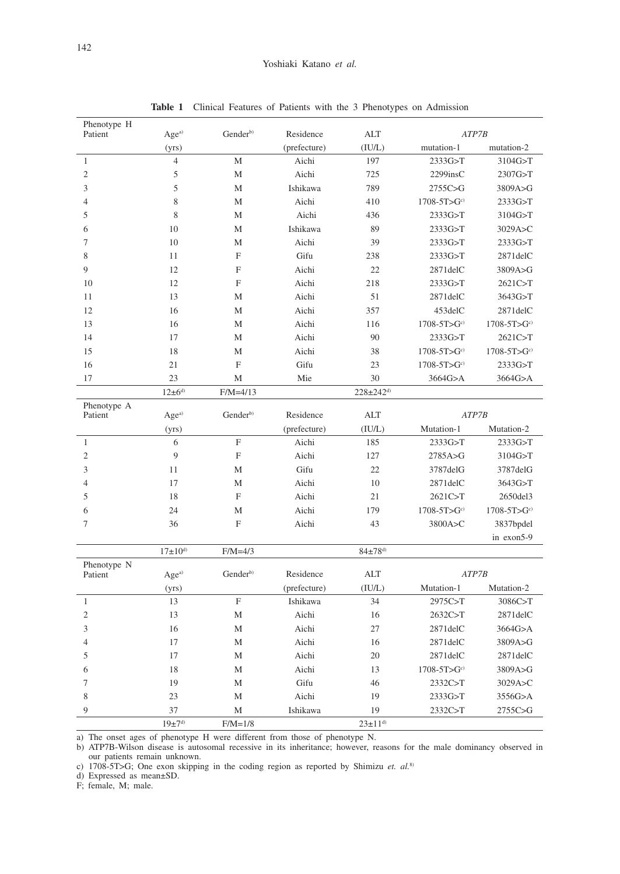| Phenotype H<br>Patient | $\rm{Age^{a)}}$               | Gender <sup>b)</sup>      | Residence             | <b>ALT</b>                  |                             | ATP7B                        |  |
|------------------------|-------------------------------|---------------------------|-----------------------|-----------------------------|-----------------------------|------------------------------|--|
|                        | (yrs)                         |                           | (prefecture)          | (IU/L)                      | mutation-1                  | mutation-2                   |  |
| $\mathbf{1}$           | $\overline{4}$                | M                         | Aichi                 | 197                         | 2333G>T                     | 3104G>T                      |  |
| $\overline{2}$         | 5                             | M                         | Aichi                 | 725                         | $2299$ insC                 | 2307G>T                      |  |
| 3                      | 5                             | M                         | Ishikawa              | 789                         | 2755C>G                     | 3809A>G                      |  |
| $\overline{4}$         | 8                             | M                         | Aichi                 | 410                         | $1708 - 5T > Gc$            | 2333G>T                      |  |
| 5                      | 8                             | M                         | Aichi                 | 436                         | 2333G>T                     | 3104G>T                      |  |
| 6                      | 10                            | M                         | Ishikawa              | 89                          | 2333G>T                     | 3029A>C                      |  |
| $\boldsymbol{7}$       | 10                            | M                         | Aichi                 | 39                          | 2333G>T                     | 2333G>T                      |  |
| 8                      | 11                            | F                         | Gifu                  | 238                         | 2333G>T                     | 2871delC                     |  |
| 9                      | 12                            | $\boldsymbol{\mathrm{F}}$ | Aichi                 | 22                          | 2871delC                    | 3809A>G                      |  |
| 10                     | 12                            | F                         | Aichi                 | 218                         | 2333G>T                     | 2621C>T                      |  |
| 11                     | 13                            | M                         | Aichi                 | 51                          | 2871delC                    | 3643G>T                      |  |
| 12                     | 16                            | M                         | Aichi                 | 357                         | 453delC                     | 2871delC                     |  |
| 13                     | 16                            | M                         | Aichi                 | 116                         | $1708 - 5T > Gc$            | $1708 - 5T > Gc$             |  |
| 14                     | 17                            | M                         | Aichi                 | 90                          | 2333G>T                     | 2621C>T                      |  |
| 15                     | 18                            | $\mathbf{M}$              | Aichi                 | 38                          | $1708 - 5T > Gc$            | $1708 - 5T > Gc$             |  |
| 16                     | 21                            | F                         | Gifu                  | 23                          | $1708 - 5T > Gc$            | 2333G>T                      |  |
| 17                     | 23                            | M                         | Mie                   | 30                          | 3664G>A                     | 3664G>A                      |  |
|                        | $12 \pm 6^{d}$                | $F/M = 4/13$              |                       | $228 \pm 242$ <sup>d)</sup> |                             |                              |  |
| Phenotype A            |                               |                           |                       |                             |                             |                              |  |
| Patient                | $\rm{Age^{a)}}$               | Gender <sup>b)</sup>      | Residence             | <b>ALT</b>                  | ATP7B                       |                              |  |
| $\mathbf{1}$           | (yrs)<br>6                    | F                         | (prefecture)<br>Aichi | (IU/L)<br>185               | Mutation-1<br>2333G>T       | Mutation-2<br>2333G > T      |  |
|                        |                               |                           |                       |                             |                             |                              |  |
| $\overline{2}$         | 9<br>11                       | $\boldsymbol{\mathrm{F}}$ | Aichi<br>Gifu         | 127<br>22                   | 2785A>G                     | 3104G>T                      |  |
| 3<br>$\overline{4}$    | 17                            | M<br>M                    |                       | 10                          | 3787delG                    | 3787delG                     |  |
| 5                      | 18                            | $\overline{F}$            | Aichi<br>Aichi        | 21                          | 2871delC                    | 3643G>T                      |  |
| 6                      | 24                            | M                         | Aichi                 | 179                         | 2621C>T<br>$1708 - 5T > Gc$ | 2650del3<br>$1708 - 5T > Gc$ |  |
| $\boldsymbol{7}$       | 36                            | F                         | Aichi                 | 43                          | 3800A>C                     | 3837bpdel                    |  |
|                        |                               |                           |                       |                             |                             | in exon5-9                   |  |
|                        | $17{\pm}10^{d}$               | $F/M=4/3$                 |                       | $84{\pm}78^{d)}$            |                             |                              |  |
| Phenotype N            |                               |                           |                       |                             |                             |                              |  |
| Patient                | $Age^{\scriptscriptstyle a)}$ | Gender <sup>b)</sup>      | Residence             | <b>ALT</b>                  | ATP7B                       |                              |  |
|                        | (yrs)                         |                           | (prefecture)          | (IU/L)                      | Mutation-1                  | Mutation-2                   |  |
| $\mathbf{1}$           | 13                            | F                         | Ishikawa              | 34                          | 2975C>T                     | 3086C>T                      |  |
| $\mathfrak{2}$         | 13                            | M                         | Aichi                 | 16                          | 2632C>T                     | 2871delC                     |  |
| 3                      | 16                            | M                         | Aichi                 | 27                          | 2871delC                    | 3664G>A                      |  |
| $\overline{4}$         | 17                            | M                         | Aichi                 | 16                          | $2871$ del $C$              | 3809A>G                      |  |
| 5                      | 17                            | M                         | Aichi                 | 20                          | 2871delC                    | 2871delC                     |  |
| 6                      | 18                            | M                         | Aichi                 | 13                          | $1708 - 5T > Gc$            | 3809A>G                      |  |
| $\overline{7}$         | 19                            | M                         | Gifu                  | 46                          | 2332C>T                     | 3029A > C                    |  |
| 8                      | 23                            | M                         | Aichi                 | 19                          | 2333G>T                     | 3556G>A                      |  |
| 9                      | 37                            | M                         | Ishikawa              | 19                          | 2332C>T                     | 2755C>G                      |  |
|                        | $19\pm7^{\rm d}$              | $F/M=1/8$                 |                       | $23 \pm 11^{d}$             |                             |                              |  |

**Table 1** Clinical Features of Patients with the 3 Phenotypes on Admission

a) The onset ages of phenotype H were different from those of phenotype N.

b) ATP7B-Wilson disease is autosomal recessive in its inheritance; however, reasons for the male dominancy observed in our patients remain unknown.

c) 1708-5T>G; One exon skipping in the coding region as reported by Shimizu *et. al.*8)

d) Expressed as mean±SD.

F; female, M; male.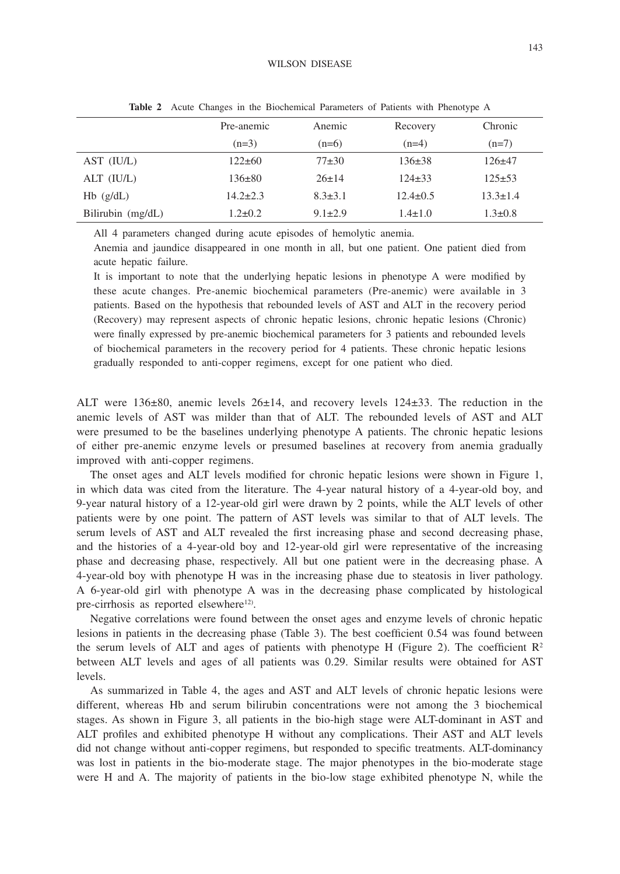#### WILSON DISEASE

|                   | Pre-anemic     | Anemic        | Recovery       | Chronic        |
|-------------------|----------------|---------------|----------------|----------------|
|                   | $(n=3)$        | $(n=6)$       | $(n=4)$        | $(n=7)$        |
| AST (IU/L)        | $122 \pm 60$   | $77 + 30$     | $136 \pm 38$   | $126+47$       |
| ALT (IU/L)        | $136\pm80$     | $26 \pm 14$   | $124 \pm 33$   | $125 \pm 53$   |
| $Hb$ ( $g/dL$ )   | $14.2 \pm 2.3$ | $8.3 \pm 3.1$ | $12.4 \pm 0.5$ | $13.3 \pm 1.4$ |
| Bilirubin (mg/dL) | $1.2 \pm 0.2$  | $9.1 \pm 2.9$ | $1.4 \pm 1.0$  | $1.3 \pm 0.8$  |

**Table 2** Acute Changes in the Biochemical Parameters of Patients with Phenotype A

All 4 parameters changed during acute episodes of hemolytic anemia.

Anemia and jaundice disappeared in one month in all, but one patient. One patient died from acute hepatic failure.

It is important to note that the underlying hepatic lesions in phenotype A were modified by these acute changes. Pre-anemic biochemical parameters (Pre-anemic) were available in 3 patients. Based on the hypothesis that rebounded levels of AST and ALT in the recovery period (Recovery) may represent aspects of chronic hepatic lesions, chronic hepatic lesions (Chronic) were finally expressed by pre-anemic biochemical parameters for 3 patients and rebounded levels of biochemical parameters in the recovery period for 4 patients. These chronic hepatic lesions gradually responded to anti-copper regimens, except for one patient who died.

ALT were 136±80, anemic levels 26±14, and recovery levels 124±33. The reduction in the anemic levels of AST was milder than that of ALT. The rebounded levels of AST and ALT were presumed to be the baselines underlying phenotype A patients. The chronic hepatic lesions of either pre-anemic enzyme levels or presumed baselines at recovery from anemia gradually improved with anti-copper regimens.

The onset ages and ALT levels modified for chronic hepatic lesions were shown in Figure 1, in which data was cited from the literature. The 4-year natural history of a 4-year-old boy, and 9-year natural history of a 12-year-old girl were drawn by 2 points, while the ALT levels of other patients were by one point. The pattern of AST levels was similar to that of ALT levels. The serum levels of AST and ALT revealed the first increasing phase and second decreasing phase, and the histories of a 4-year-old boy and 12-year-old girl were representative of the increasing phase and decreasing phase, respectively. All but one patient were in the decreasing phase. A 4-year-old boy with phenotype H was in the increasing phase due to steatosis in liver pathology. A 6-year-old girl with phenotype A was in the decreasing phase complicated by histological pre-cirrhosis as reported elsewhere $12$ .

Negative correlations were found between the onset ages and enzyme levels of chronic hepatic lesions in patients in the decreasing phase (Table 3). The best coefficient 0.54 was found between the serum levels of ALT and ages of patients with phenotype H (Figure 2). The coefficient  $\mathbb{R}^2$ between ALT levels and ages of all patients was 0.29. Similar results were obtained for AST levels.

As summarized in Table 4, the ages and AST and ALT levels of chronic hepatic lesions were different, whereas Hb and serum bilirubin concentrations were not among the 3 biochemical stages. As shown in Figure 3, all patients in the bio-high stage were ALT-dominant in AST and ALT profiles and exhibited phenotype H without any complications. Their AST and ALT levels did not change without anti-copper regimens, but responded to specific treatments. ALT-dominancy was lost in patients in the bio-moderate stage. The major phenotypes in the bio-moderate stage were H and A. The majority of patients in the bio-low stage exhibited phenotype N, while the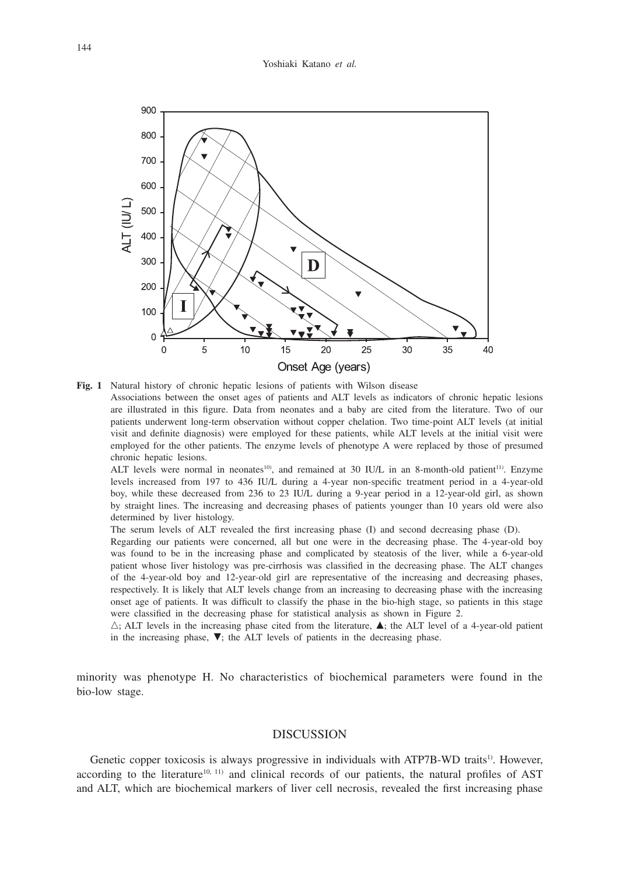

**Fig. 1** Natural history of chronic hepatic lesions of patients with Wilson disease Associations between the onset ages of patients and ALT levels as indicators of chronic hepatic lesions are illustrated in this figure. Data from neonates and a baby are cited from the literature. Two of our patients underwent long-term observation without copper chelation. Two time-point ALT levels (at initial visit and definite diagnosis) were employed for these patients, while ALT levels at the initial visit were employed for the other patients. The enzyme levels of phenotype A were replaced by those of presumed chronic hepatic lesions.

ALT levels were normal in neonates<sup>10</sup>), and remained at 30 IU/L in an 8-month-old patient<sup>11)</sup>. Enzyme levels increased from 197 to 436 IU/L during a 4-year non-specific treatment period in a 4-year-old boy, while these decreased from 236 to 23 IU/L during a 9-year period in a 12-year-old girl, as shown by straight lines. The increasing and decreasing phases of patients younger than 10 years old were also determined by liver histology.

The serum levels of ALT revealed the first increasing phase (I) and second decreasing phase (D).

 Regarding our patients were concerned, all but one were in the decreasing phase. The 4-year-old boy was found to be in the increasing phase and complicated by steatosis of the liver, while a 6-year-old patient whose liver histology was pre-cirrhosis was classified in the decreasing phase. The ALT changes of the 4-year-old boy and 12-year-old girl are representative of the increasing and decreasing phases, respectively. It is likely that ALT levels change from an increasing to decreasing phase with the increasing onset age of patients. It was difficult to classify the phase in the bio-high stage, so patients in this stage were classified in the decreasing phase for statistical analysis as shown in Figure 2.

 $\triangle$ ; ALT levels in the increasing phase cited from the literature,  $\triangle$ ; the ALT level of a 4-year-old patient in the increasing phase,  $\nabla$ ; the ALT levels of patients in the decreasing phase.

minority was phenotype H. No characteristics of biochemical parameters were found in the bio-low stage.

# **DISCUSSION**

Genetic copper toxicosis is always progressive in individuals with ATP7B-WD traits<sup>1)</sup>. However, according to the literature<sup>10, 11)</sup> and clinical records of our patients, the natural profiles of AST and ALT, which are biochemical markers of liver cell necrosis, revealed the first increasing phase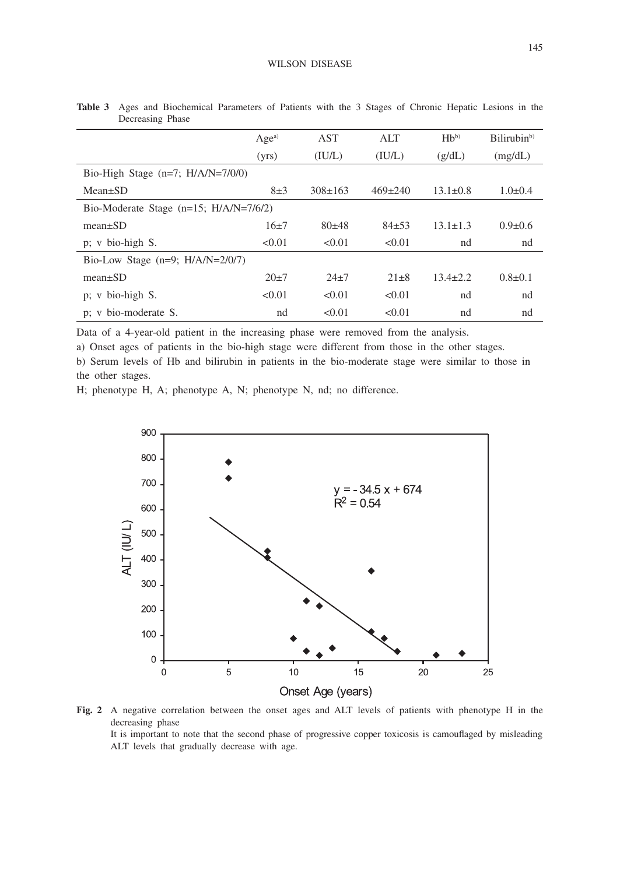|                                          | Age <sup>a)</sup> | <b>AST</b>    | ALT           | $Hb^{(b)}$     | Bilirubin <sup>b)</sup> |  |
|------------------------------------------|-------------------|---------------|---------------|----------------|-------------------------|--|
|                                          | (yrs)             | (IU/L)        | (IU/L)        | (g/dL)         | (mg/dL)                 |  |
| Bio-High Stage $(n=7; H/A/N=7/0/0)$      |                   |               |               |                |                         |  |
| $Mean \pm SD$                            | $8\pm3$           | $308 \pm 163$ | $469 \pm 240$ | $13.1 \pm 0.8$ | $1.0\pm0.4$             |  |
| Bio-Moderate Stage $(n=15; H/A/N=7/6/2)$ |                   |               |               |                |                         |  |
| $mean \pm SD$                            | $16+7$            | $80+48$       | $84+53$       | $13.1 \pm 1.3$ | $0.9 \pm 0.6$           |  |
| p; v bio-high S.                         | < 0.01            | < 0.01        | < 0.01        | nd             | nd                      |  |
| Bio-Low Stage $(n=9; H/A/N=2/0/7)$       |                   |               |               |                |                         |  |
| $mean \pm SD$                            | $20+7$            | $24+7$        | $21 \pm 8$    | $13.4 \pm 2.2$ | $0.8 \pm 0.1$           |  |
| p; v bio-high S.                         | < 0.01            | < 0.01        | < 0.01        | nd             | nd                      |  |
| p; v bio-moderate S.                     | nd                | < 0.01        | < 0.01        | nd             | nd                      |  |

**Table 3** Ages and Biochemical Parameters of Patients with the 3 Stages of Chronic Hepatic Lesions in the Decreasing Phase

Data of a 4-year-old patient in the increasing phase were removed from the analysis.

a) Onset ages of patients in the bio-high stage were different from those in the other stages.

b) Serum levels of Hb and bilirubin in patients in the bio-moderate stage were similar to those in the other stages.

H; phenotype H, A; phenotype A, N; phenotype N, nd; no difference.



**Fig. 2** A negative correlation between the onset ages and ALT levels of patients with phenotype H in the decreasing phase It is important to note that the second phase of progressive copper toxicosis is camouflaged by misleading ALT levels that gradually decrease with age.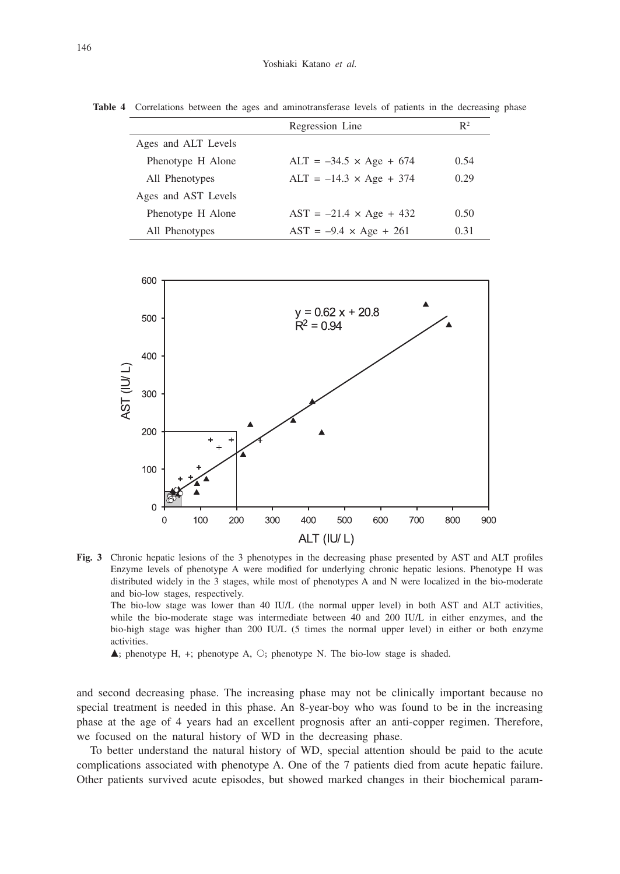|                     | Regression Line                | $\mathbb{R}^2$ |
|---------------------|--------------------------------|----------------|
| Ages and ALT Levels |                                |                |
| Phenotype H Alone   | $ALT = -34.5 \times Age + 674$ | 0.54           |
| All Phenotypes      | $ALT = -14.3 \times Age + 374$ | 0.29           |
| Ages and AST Levels |                                |                |
| Phenotype H Alone   | $AST = -21.4 \times Age + 432$ | 0.50           |
| All Phenotypes      | $AST = -9.4 \times Age + 261$  | 0.31           |

**Table 4** Correlations between the ages and aminotransferase levels of patients in the decreasing phase



**Fig. 3** Chronic hepatic lesions of the 3 phenotypes in the decreasing phase presented by AST and ALT profiles Enzyme levels of phenotype A were modified for underlying chronic hepatic lesions. Phenotype H was distributed widely in the 3 stages, while most of phenotypes A and N were localized in the bio-moderate and bio-low stages, respectively.

 The bio-low stage was lower than 40 IU/L (the normal upper level) in both AST and ALT activities, while the bio-moderate stage was intermediate between 40 and 200 IU/L in either enzymes, and the bio-high stage was higher than 200 IU/L (5 times the normal upper level) in either or both enzyme activities.

 $\blacktriangle$ ; phenotype H, +; phenotype A,  $\bigcirc$ ; phenotype N. The bio-low stage is shaded.

and second decreasing phase. The increasing phase may not be clinically important because no special treatment is needed in this phase. An 8-year-boy who was found to be in the increasing phase at the age of 4 years had an excellent prognosis after an anti-copper regimen. Therefore, we focused on the natural history of WD in the decreasing phase.

To better understand the natural history of WD, special attention should be paid to the acute complications associated with phenotype A. One of the 7 patients died from acute hepatic failure. Other patients survived acute episodes, but showed marked changes in their biochemical param-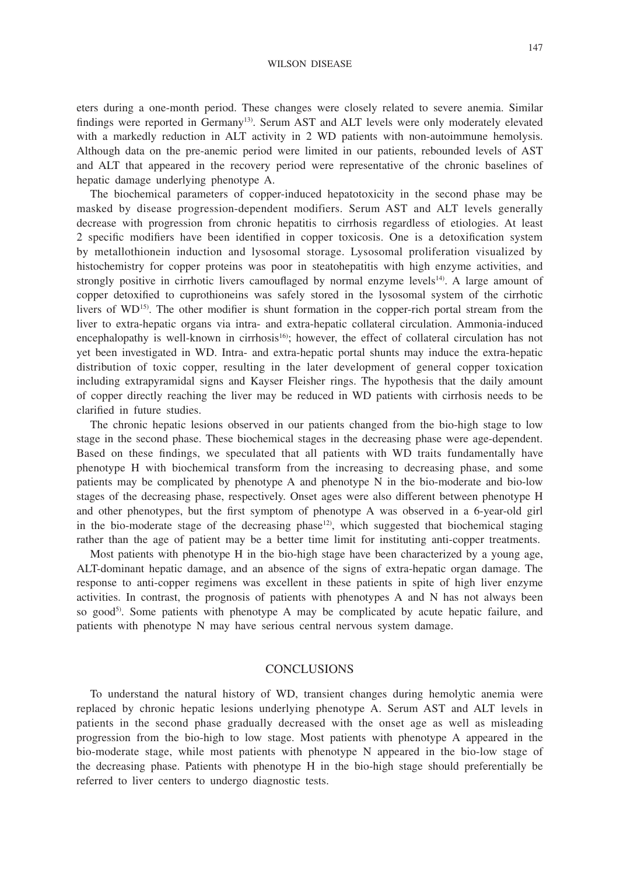### WILSON DISEASE

eters during a one-month period. These changes were closely related to severe anemia. Similar findings were reported in Germany13). Serum AST and ALT levels were only moderately elevated with a markedly reduction in ALT activity in 2 WD patients with non-autoimmune hemolysis. Although data on the pre-anemic period were limited in our patients, rebounded levels of AST and ALT that appeared in the recovery period were representative of the chronic baselines of hepatic damage underlying phenotype A.

The biochemical parameters of copper-induced hepatotoxicity in the second phase may be masked by disease progression-dependent modifiers. Serum AST and ALT levels generally decrease with progression from chronic hepatitis to cirrhosis regardless of etiologies. At least 2 specific modifiers have been identified in copper toxicosis. One is a detoxification system by metallothionein induction and lysosomal storage. Lysosomal proliferation visualized by histochemistry for copper proteins was poor in steatohepatitis with high enzyme activities, and strongly positive in cirrhotic livers camouflaged by normal enzyme levels<sup>14)</sup>. A large amount of copper detoxified to cuprothioneins was safely stored in the lysosomal system of the cirrhotic livers of WD<sup>15)</sup>. The other modifier is shunt formation in the copper-rich portal stream from the liver to extra-hepatic organs via intra- and extra-hepatic collateral circulation. Ammonia-induced encephalopathy is well-known in cirrhosis<sup>16)</sup>; however, the effect of collateral circulation has not yet been investigated in WD. Intra- and extra-hepatic portal shunts may induce the extra-hepatic distribution of toxic copper, resulting in the later development of general copper toxication including extrapyramidal signs and Kayser Fleisher rings. The hypothesis that the daily amount of copper directly reaching the liver may be reduced in WD patients with cirrhosis needs to be clarified in future studies.

The chronic hepatic lesions observed in our patients changed from the bio-high stage to low stage in the second phase. These biochemical stages in the decreasing phase were age-dependent. Based on these findings, we speculated that all patients with WD traits fundamentally have phenotype H with biochemical transform from the increasing to decreasing phase, and some patients may be complicated by phenotype A and phenotype N in the bio-moderate and bio-low stages of the decreasing phase, respectively. Onset ages were also different between phenotype H and other phenotypes, but the first symptom of phenotype A was observed in a 6-year-old girl in the bio-moderate stage of the decreasing phase<sup>12)</sup>, which suggested that biochemical staging rather than the age of patient may be a better time limit for instituting anti-copper treatments.

Most patients with phenotype H in the bio-high stage have been characterized by a young age, ALT-dominant hepatic damage, and an absence of the signs of extra-hepatic organ damage. The response to anti-copper regimens was excellent in these patients in spite of high liver enzyme activities. In contrast, the prognosis of patients with phenotypes A and N has not always been so good<sup>5)</sup>. Some patients with phenotype A may be complicated by acute hepatic failure, and patients with phenotype N may have serious central nervous system damage.

## CONCLUSIONS

To understand the natural history of WD, transient changes during hemolytic anemia were replaced by chronic hepatic lesions underlying phenotype A. Serum AST and ALT levels in patients in the second phase gradually decreased with the onset age as well as misleading progression from the bio-high to low stage. Most patients with phenotype A appeared in the bio-moderate stage, while most patients with phenotype N appeared in the bio-low stage of the decreasing phase. Patients with phenotype H in the bio-high stage should preferentially be referred to liver centers to undergo diagnostic tests.